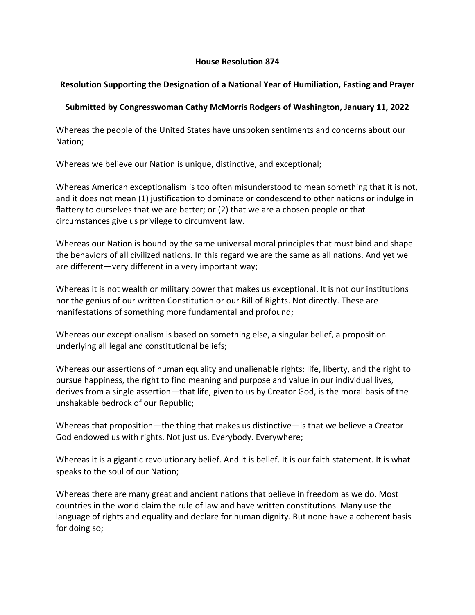## **House Resolution 874**

## **Resolution Supporting the Designation of a National Year of Humiliation, Fasting and Prayer**

## **Submitted by Congresswoman Cathy McMorris Rodgers of Washington, January 11, 2022**

Whereas the people of the United States have unspoken sentiments and concerns about our Nation;

Whereas we believe our Nation is unique, distinctive, and exceptional;

Whereas American exceptionalism is too often misunderstood to mean something that it is not, and it does not mean (1) justification to dominate or condescend to other nations or indulge in flattery to ourselves that we are better; or (2) that we are a chosen people or that circumstances give us privilege to circumvent law.

Whereas our Nation is bound by the same universal moral principles that must bind and shape the behaviors of all civilized nations. In this regard we are the same as all nations. And yet we are different—very different in a very important way;

Whereas it is not wealth or military power that makes us exceptional. It is not our institutions nor the genius of our written Constitution or our Bill of Rights. Not directly. These are manifestations of something more fundamental and profound;

Whereas our exceptionalism is based on something else, a singular belief, a proposition underlying all legal and constitutional beliefs;

Whereas our assertions of human equality and unalienable rights: life, liberty, and the right to pursue happiness, the right to find meaning and purpose and value in our individual lives, derives from a single assertion—that life, given to us by Creator God, is the moral basis of the unshakable bedrock of our Republic;

Whereas that proposition—the thing that makes us distinctive—is that we believe a Creator God endowed us with rights. Not just us. Everybody. Everywhere;

Whereas it is a gigantic revolutionary belief. And it is belief. It is our faith statement. It is what speaks to the soul of our Nation;

Whereas there are many great and ancient nations that believe in freedom as we do. Most countries in the world claim the rule of law and have written constitutions. Many use the language of rights and equality and declare for human dignity. But none have a coherent basis for doing so;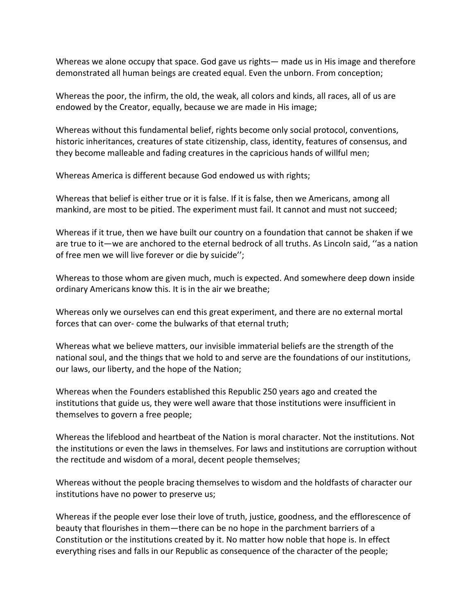Whereas we alone occupy that space. God gave us rights— made us in His image and therefore demonstrated all human beings are created equal. Even the unborn. From conception;

Whereas the poor, the infirm, the old, the weak, all colors and kinds, all races, all of us are endowed by the Creator, equally, because we are made in His image;

Whereas without this fundamental belief, rights become only social protocol, conventions, historic inheritances, creatures of state citizenship, class, identity, features of consensus, and they become malleable and fading creatures in the capricious hands of willful men;

Whereas America is different because God endowed us with rights;

Whereas that belief is either true or it is false. If it is false, then we Americans, among all mankind, are most to be pitied. The experiment must fail. It cannot and must not succeed;

Whereas if it true, then we have built our country on a foundation that cannot be shaken if we are true to it—we are anchored to the eternal bedrock of all truths. As Lincoln said, ''as a nation of free men we will live forever or die by suicide'';

Whereas to those whom are given much, much is expected. And somewhere deep down inside ordinary Americans know this. It is in the air we breathe;

Whereas only we ourselves can end this great experiment, and there are no external mortal forces that can over- come the bulwarks of that eternal truth;

Whereas what we believe matters, our invisible immaterial beliefs are the strength of the national soul, and the things that we hold to and serve are the foundations of our institutions, our laws, our liberty, and the hope of the Nation;

Whereas when the Founders established this Republic 250 years ago and created the institutions that guide us, they were well aware that those institutions were insufficient in themselves to govern a free people;

Whereas the lifeblood and heartbeat of the Nation is moral character. Not the institutions. Not the institutions or even the laws in themselves. For laws and institutions are corruption without the rectitude and wisdom of a moral, decent people themselves;

Whereas without the people bracing themselves to wisdom and the holdfasts of character our institutions have no power to preserve us;

Whereas if the people ever lose their love of truth, justice, goodness, and the efflorescence of beauty that flourishes in them—there can be no hope in the parchment barriers of a Constitution or the institutions created by it. No matter how noble that hope is. In effect everything rises and falls in our Republic as consequence of the character of the people;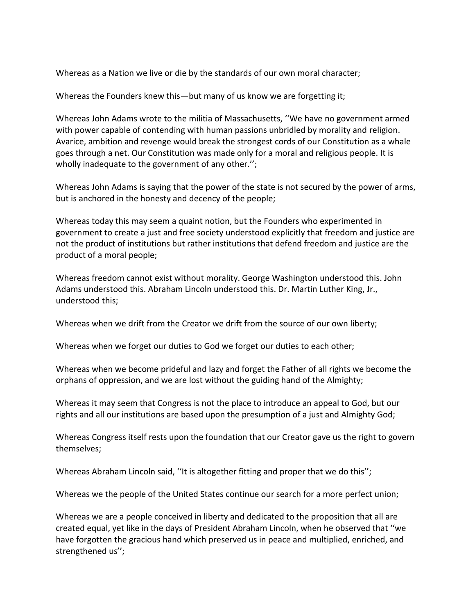Whereas as a Nation we live or die by the standards of our own moral character;

Whereas the Founders knew this—but many of us know we are forgetting it;

Whereas John Adams wrote to the militia of Massachusetts, ''We have no government armed with power capable of contending with human passions unbridled by morality and religion. Avarice, ambition and revenge would break the strongest cords of our Constitution as a whale goes through a net. Our Constitution was made only for a moral and religious people. It is wholly inadequate to the government of any other.'';

Whereas John Adams is saying that the power of the state is not secured by the power of arms, but is anchored in the honesty and decency of the people;

Whereas today this may seem a quaint notion, but the Founders who experimented in government to create a just and free society understood explicitly that freedom and justice are not the product of institutions but rather institutions that defend freedom and justice are the product of a moral people;

Whereas freedom cannot exist without morality. George Washington understood this. John Adams understood this. Abraham Lincoln understood this. Dr. Martin Luther King, Jr., understood this;

Whereas when we drift from the Creator we drift from the source of our own liberty;

Whereas when we forget our duties to God we forget our duties to each other;

Whereas when we become prideful and lazy and forget the Father of all rights we become the orphans of oppression, and we are lost without the guiding hand of the Almighty;

Whereas it may seem that Congress is not the place to introduce an appeal to God, but our rights and all our institutions are based upon the presumption of a just and Almighty God;

Whereas Congress itself rests upon the foundation that our Creator gave us the right to govern themselves;

Whereas Abraham Lincoln said, ''It is altogether fitting and proper that we do this'';

Whereas we the people of the United States continue our search for a more perfect union;

Whereas we are a people conceived in liberty and dedicated to the proposition that all are created equal, yet like in the days of President Abraham Lincoln, when he observed that ''we have forgotten the gracious hand which preserved us in peace and multiplied, enriched, and strengthened us'';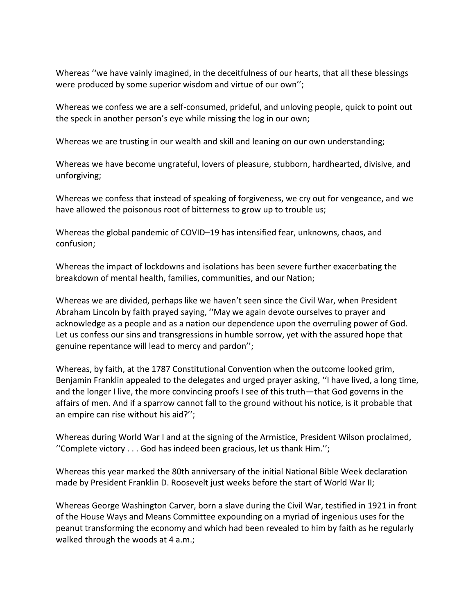Whereas ''we have vainly imagined, in the deceitfulness of our hearts, that all these blessings were produced by some superior wisdom and virtue of our own'';

Whereas we confess we are a self-consumed, prideful, and unloving people, quick to point out the speck in another person's eye while missing the log in our own;

Whereas we are trusting in our wealth and skill and leaning on our own understanding;

Whereas we have become ungrateful, lovers of pleasure, stubborn, hardhearted, divisive, and unforgiving;

Whereas we confess that instead of speaking of forgiveness, we cry out for vengeance, and we have allowed the poisonous root of bitterness to grow up to trouble us;

Whereas the global pandemic of COVID–19 has intensified fear, unknowns, chaos, and confusion;

Whereas the impact of lockdowns and isolations has been severe further exacerbating the breakdown of mental health, families, communities, and our Nation;

Whereas we are divided, perhaps like we haven't seen since the Civil War, when President Abraham Lincoln by faith prayed saying, ''May we again devote ourselves to prayer and acknowledge as a people and as a nation our dependence upon the overruling power of God. Let us confess our sins and transgressions in humble sorrow, yet with the assured hope that genuine repentance will lead to mercy and pardon'';

Whereas, by faith, at the 1787 Constitutional Convention when the outcome looked grim, Benjamin Franklin appealed to the delegates and urged prayer asking, ''I have lived, a long time, and the longer I live, the more convincing proofs I see of this truth—that God governs in the affairs of men. And if a sparrow cannot fall to the ground without his notice, is it probable that an empire can rise without his aid?'';

Whereas during World War I and at the signing of the Armistice, President Wilson proclaimed, ''Complete victory . . . God has indeed been gracious, let us thank Him.'';

Whereas this year marked the 80th anniversary of the initial National Bible Week declaration made by President Franklin D. Roosevelt just weeks before the start of World War II;

Whereas George Washington Carver, born a slave during the Civil War, testified in 1921 in front of the House Ways and Means Committee expounding on a myriad of ingenious uses for the peanut transforming the economy and which had been revealed to him by faith as he regularly walked through the woods at 4 a.m.;